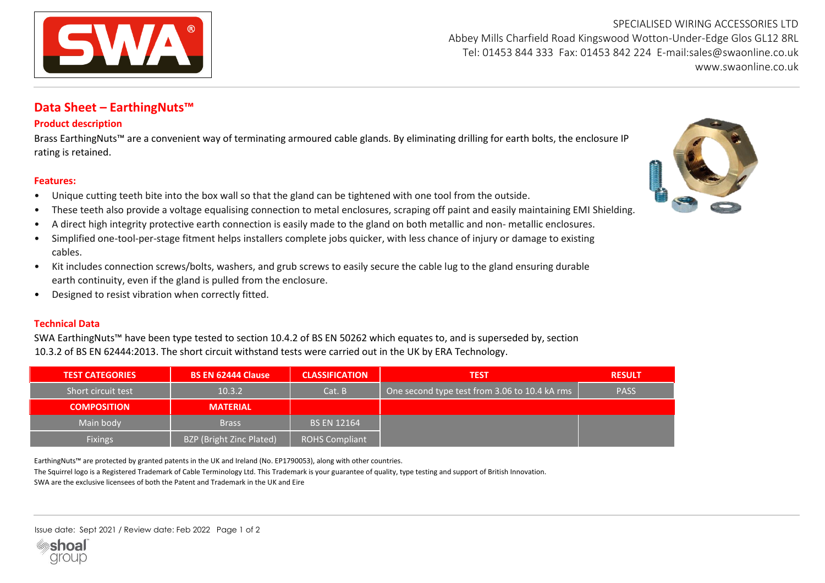

SPECIALISED WIRING ACCESSORIES LTD Abbey Mills Charfield Road Kingswood Wotton-Under-Edge Glos GL12 8RL Tel: 01453 844 333 Fax: 01453 842 224 E-mail:sales@swaonline.co.uk [www.swaonline.co.uk](http://www.swaonlione.co.uk/)

## **Data Sheet – EarthingNuts™**

## **Product description**

Brass EarthingNuts™ are a convenient way of terminating armoured cable glands. By eliminating drilling for earth bolts, the enclosure IP rating is retained.

## **Features:**

- Unique cutting teeth bite into the box wall so that the gland can be tightened with one tool from the outside.
- These teeth also provide a voltage equalising connection to metal enclosures, scraping off paint and easily maintaining EMI Shielding.
- A direct high integrity protective earth connection is easily made to the gland on both metallic and non- metallic enclosures.
- Simplified one-tool-per-stage fitment helps installers complete jobs quicker, with less chance of injury or damage to existing cables.
- Kit includes connection screws/bolts, washers, and grub screws to easily secure the cable lug to the gland ensuring durable earth continuity, even if the gland is pulled from the enclosure.
- Designed to resist vibration when correctly fitted.

## **Technical Data**

SWA EarthingNuts™ have been type tested to section 10.4.2 of BS EN 50262 which equates to, and is superseded by, section 10.3.2 of BS EN 62444:2013. The short circuit withstand tests were carried out in the UK by ERA Technology.

| <b>TEST CATEGORIES</b> | <b>BS EN 62444 Clause</b> | <b>CLASSIFICATION</b> | <b>TEST</b>                                                | <b>RESULT</b> |
|------------------------|---------------------------|-----------------------|------------------------------------------------------------|---------------|
| Short circuit test     | 10.3.2                    | Cat. B                | One second type test from 3.06 to 10.4 kA rms <sup>1</sup> | <b>PASS</b>   |
| <b>COMPOSITION</b>     | <b>MATERIAL</b>           |                       |                                                            |               |
| Main body              | <b>Brass</b>              | <b>BS EN 12164</b>    |                                                            |               |
| <b>Fixings</b>         | BZP (Bright Zinc Plated)  | <b>ROHS Compliant</b> |                                                            |               |

EarthingNuts™ are protected by granted patents in the UK and Ireland (No. EP1790053), along with other countries.

The Squirrel logo is a Registered Trademark of Cable Terminology Ltd. This Trademark is your guarantee of quality, type testing and support of British Innovation.

SWA are the exclusive licensees of both the Patent and Trademark in the UK and Eire